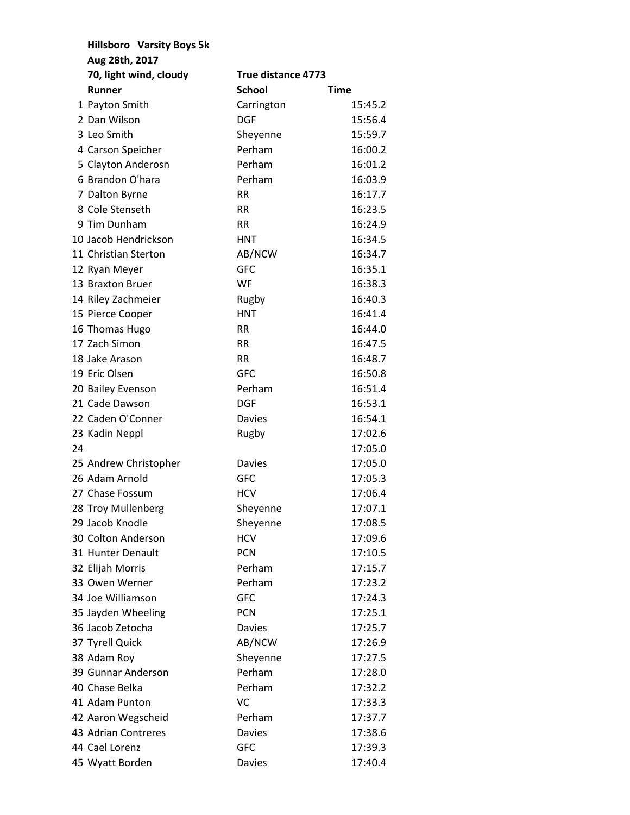|    | <b>Hillsboro</b> Varsity Boys 5k |                    |             |
|----|----------------------------------|--------------------|-------------|
|    | Aug 28th, 2017                   |                    |             |
|    | 70, light wind, cloudy           | True distance 4773 |             |
|    | <b>Runner</b>                    | <b>School</b>      | <b>Time</b> |
|    | 1 Payton Smith                   | Carrington         | 15:45.2     |
|    | 2 Dan Wilson                     | <b>DGF</b>         | 15:56.4     |
|    | 3 Leo Smith                      | Sheyenne           | 15:59.7     |
|    | 4 Carson Speicher                | Perham             | 16:00.2     |
|    | 5 Clayton Anderosn               | Perham             | 16:01.2     |
|    | 6 Brandon O'hara                 | Perham             | 16:03.9     |
|    | 7 Dalton Byrne                   | RR.                | 16:17.7     |
|    | 8 Cole Stenseth                  | RR.                | 16:23.5     |
|    | 9 Tim Dunham                     | <b>RR</b>          | 16:24.9     |
|    | 10 Jacob Hendrickson             | <b>HNT</b>         | 16:34.5     |
|    | 11 Christian Sterton             | AB/NCW             | 16:34.7     |
|    | 12 Ryan Meyer                    | <b>GFC</b>         | 16:35.1     |
|    | 13 Braxton Bruer                 | WF                 | 16:38.3     |
|    | 14 Riley Zachmeier               | Rugby              | 16:40.3     |
|    | 15 Pierce Cooper                 | <b>HNT</b>         | 16:41.4     |
|    | 16 Thomas Hugo                   | <b>RR</b>          | 16:44.0     |
|    | 17 Zach Simon                    | RR.                | 16:47.5     |
|    | 18 Jake Arason                   | <b>RR</b>          | 16:48.7     |
|    | 19 Eric Olsen                    | <b>GFC</b>         | 16:50.8     |
|    | 20 Bailey Evenson                | Perham             | 16:51.4     |
|    | 21 Cade Dawson                   | <b>DGF</b>         | 16:53.1     |
|    | 22 Caden O'Conner                | <b>Davies</b>      | 16:54.1     |
|    | 23 Kadin Neppl                   | Rugby              | 17:02.6     |
| 24 |                                  |                    | 17:05.0     |
|    | 25 Andrew Christopher            | <b>Davies</b>      | 17:05.0     |
|    | 26 Adam Arnold                   | <b>GFC</b>         | 17:05.3     |
|    | 27 Chase Fossum                  | <b>HCV</b>         | 17:06.4     |
|    | 28 Troy Mullenberg               | Sheyenne           | 17:07.1     |
|    | 29 Jacob Knodle                  | Sheyenne           | 17:08.5     |
|    | 30 Colton Anderson               | <b>HCV</b>         | 17:09.6     |
|    | 31 Hunter Denault                | <b>PCN</b>         | 17:10.5     |
|    | 32 Elijah Morris                 | Perham             | 17:15.7     |
|    | 33 Owen Werner                   | Perham             | 17:23.2     |
|    | 34 Joe Williamson                | <b>GFC</b>         | 17:24.3     |
|    | 35 Jayden Wheeling               | <b>PCN</b>         | 17:25.1     |
|    | 36 Jacob Zetocha                 | <b>Davies</b>      | 17:25.7     |
|    | 37 Tyrell Quick                  | AB/NCW             | 17:26.9     |
|    | 38 Adam Roy                      | Sheyenne           | 17:27.5     |
|    | 39 Gunnar Anderson               | Perham             | 17:28.0     |
|    | 40 Chase Belka                   | Perham             | 17:32.2     |
|    | 41 Adam Punton                   | VC                 | 17:33.3     |
|    | 42 Aaron Wegscheid               | Perham             | 17:37.7     |
|    | 43 Adrian Contreres              | <b>Davies</b>      | 17:38.6     |
|    | 44 Cael Lorenz                   | <b>GFC</b>         | 17:39.3     |
|    | 45 Wyatt Borden                  | <b>Davies</b>      | 17:40.4     |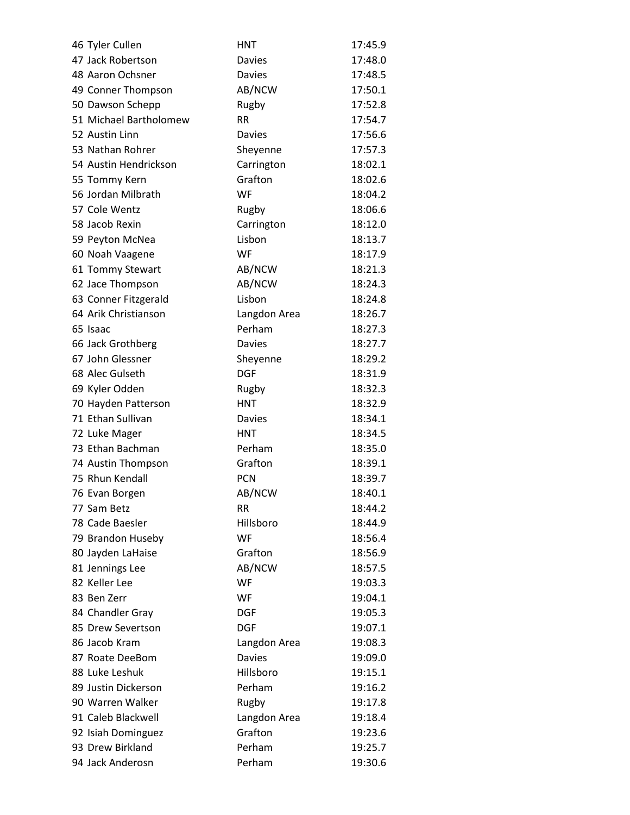| 46 Tyler Cullen        | <b>HNT</b>    | 17:45.9 |
|------------------------|---------------|---------|
| 47 Jack Robertson      | <b>Davies</b> | 17:48.0 |
| 48 Aaron Ochsner       | <b>Davies</b> | 17:48.5 |
| 49 Conner Thompson     | AB/NCW        | 17:50.1 |
| 50 Dawson Schepp       | Rugby         | 17:52.8 |
| 51 Michael Bartholomew | <b>RR</b>     | 17:54.7 |
| 52 Austin Linn         | <b>Davies</b> | 17:56.6 |
| 53 Nathan Rohrer       | Sheyenne      | 17:57.3 |
| 54 Austin Hendrickson  | Carrington    | 18:02.1 |
| 55 Tommy Kern          | Grafton       | 18:02.6 |
| 56 Jordan Milbrath     | <b>WF</b>     | 18:04.2 |
| 57 Cole Wentz          | Rugby         | 18:06.6 |
| 58 Jacob Rexin         | Carrington    | 18:12.0 |
| 59 Peyton McNea        | Lisbon        | 18:13.7 |
| 60 Noah Vaagene        | WF            | 18:17.9 |
| 61 Tommy Stewart       | AB/NCW        | 18:21.3 |
| 62 Jace Thompson       | AB/NCW        | 18:24.3 |
| 63 Conner Fitzgerald   | Lisbon        | 18:24.8 |
| 64 Arik Christianson   | Langdon Area  | 18:26.7 |
| 65 Isaac               | Perham        | 18:27.3 |
| 66 Jack Grothberg      | <b>Davies</b> | 18:27.7 |
| 67 John Glessner       | Sheyenne      | 18:29.2 |
| 68 Alec Gulseth        | <b>DGF</b>    | 18:31.9 |
| 69 Kyler Odden         | Rugby         | 18:32.3 |
| 70 Hayden Patterson    | <b>HNT</b>    | 18:32.9 |
| 71 Ethan Sullivan      | <b>Davies</b> | 18:34.1 |
| 72 Luke Mager          | HNT           | 18:34.5 |
| 73 Ethan Bachman       | Perham        | 18:35.0 |
| 74 Austin Thompson     | Grafton       | 18:39.1 |
| 75 Rhun Kendall        | <b>PCN</b>    | 18:39.7 |
| 76 Evan Borgen         | AB/NCW        | 18:40.1 |
| 77 Sam Betz            | <b>RR</b>     | 18:44.2 |
| 78 Cade Baesler        | Hillsboro     | 18:44.9 |
| 79 Brandon Huseby      | WF            | 18:56.4 |
| 80 Jayden LaHaise      | Grafton       | 18:56.9 |
| 81 Jennings Lee        | AB/NCW        | 18:57.5 |
| 82 Keller Lee          | WF            | 19:03.3 |
| 83 Ben Zerr            | WF            | 19:04.1 |
| 84 Chandler Gray       | <b>DGF</b>    | 19:05.3 |
| 85 Drew Severtson      | <b>DGF</b>    | 19:07.1 |
| 86 Jacob Kram          | Langdon Area  | 19:08.3 |
| 87 Roate DeeBom        | <b>Davies</b> | 19:09.0 |
| 88 Luke Leshuk         | Hillsboro     | 19:15.1 |
| 89 Justin Dickerson    | Perham        | 19:16.2 |
| 90 Warren Walker       | Rugby         | 19:17.8 |
| 91 Caleb Blackwell     | Langdon Area  | 19:18.4 |
| 92 Isiah Dominguez     | Grafton       | 19:23.6 |
| 93 Drew Birkland       | Perham        | 19:25.7 |
| 94 Jack Anderosn       | Perham        | 19:30.6 |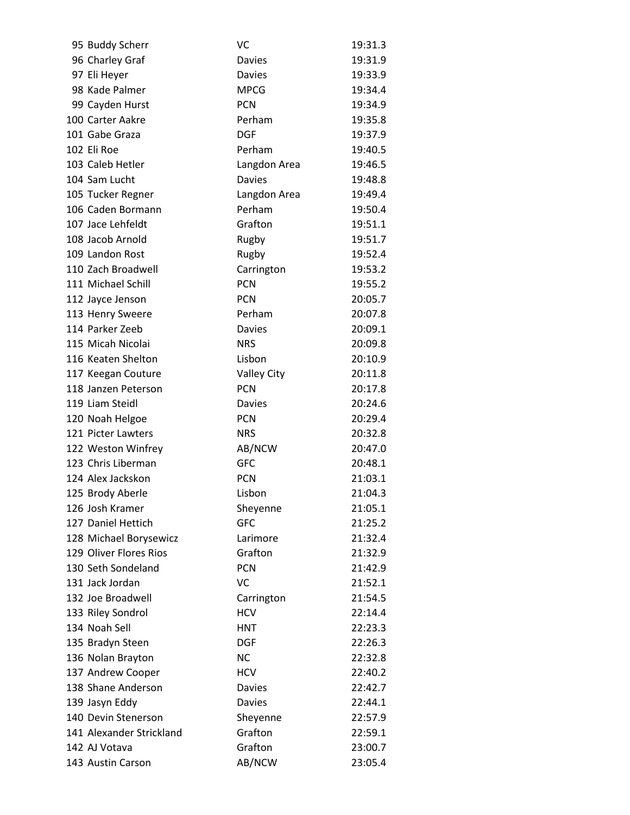| 95 Buddy Scherr          | VC                 | 19:31.3 |
|--------------------------|--------------------|---------|
| 96 Charley Graf          | <b>Davies</b>      | 19:31.9 |
| 97 Eli Heyer             | <b>Davies</b>      | 19:33.9 |
| 98 Kade Palmer           | <b>MPCG</b>        | 19:34.4 |
| 99 Cayden Hurst          | <b>PCN</b>         | 19:34.9 |
| 100 Carter Aakre         | Perham             | 19:35.8 |
| 101 Gabe Graza           | <b>DGF</b>         | 19:37.9 |
| 102 Eli Roe              | Perham             | 19:40.5 |
| 103 Caleb Hetler         | Langdon Area       | 19:46.5 |
| 104 Sam Lucht            | <b>Davies</b>      | 19:48.8 |
| 105 Tucker Regner        | Langdon Area       | 19:49.4 |
| 106 Caden Bormann        | Perham             | 19:50.4 |
| 107 Jace Lehfeldt        | Grafton            | 19:51.1 |
| 108 Jacob Arnold         | Rugby              | 19:51.7 |
| 109 Landon Rost          | Rugby              | 19:52.4 |
| 110 Zach Broadwell       | Carrington         | 19:53.2 |
| 111 Michael Schill       | <b>PCN</b>         | 19:55.2 |
| 112 Jayce Jenson         | <b>PCN</b>         | 20:05.7 |
| 113 Henry Sweere         | Perham             | 20:07.8 |
| 114 Parker Zeeb          | <b>Davies</b>      | 20:09.1 |
| 115 Micah Nicolai        | <b>NRS</b>         | 20:09.8 |
| 116 Keaten Shelton       | Lisbon             | 20:10.9 |
| 117 Keegan Couture       | <b>Valley City</b> | 20:11.8 |
| 118 Janzen Peterson      | <b>PCN</b>         | 20:17.8 |
| 119 Liam Steidl          | <b>Davies</b>      | 20:24.6 |
| 120 Noah Helgoe          | <b>PCN</b>         | 20:29.4 |
| 121 Picter Lawters       | <b>NRS</b>         | 20:32.8 |
| 122 Weston Winfrey       | AB/NCW             | 20:47.0 |
| 123 Chris Liberman       | <b>GFC</b>         | 20:48.1 |
| 124 Alex Jackskon        | <b>PCN</b>         | 21:03.1 |
| 125 Brody Aberle         | Lisbon             | 21:04.3 |
| 126 Josh Kramer          | Sheyenne           | 21:05.1 |
| 127 Daniel Hettich       | <b>GFC</b>         | 21:25.2 |
| 128 Michael Borysewicz   | Larimore           | 21:32.4 |
| 129 Oliver Flores Rios   | Grafton            | 21:32.9 |
| 130 Seth Sondeland       | <b>PCN</b>         | 21:42.9 |
| 131 Jack Jordan          | VC                 | 21:52.1 |
| 132 Joe Broadwell        | Carrington         | 21:54.5 |
| 133 Riley Sondrol        | <b>HCV</b>         | 22:14.4 |
| 134 Noah Sell            | <b>HNT</b>         | 22:23.3 |
| 135 Bradyn Steen         | <b>DGF</b>         | 22:26.3 |
| 136 Nolan Brayton        | <b>NC</b>          | 22:32.8 |
| 137 Andrew Cooper        | <b>HCV</b>         | 22:40.2 |
| 138 Shane Anderson       | <b>Davies</b>      | 22:42.7 |
| 139 Jasyn Eddy           | <b>Davies</b>      | 22:44.1 |
| 140 Devin Stenerson      | Sheyenne           | 22:57.9 |
| 141 Alexander Strickland | Grafton            | 22:59.1 |
| 142 AJ Votava            | Grafton            | 23:00.7 |
| 143 Austin Carson        | AB/NCW             | 23:05.4 |